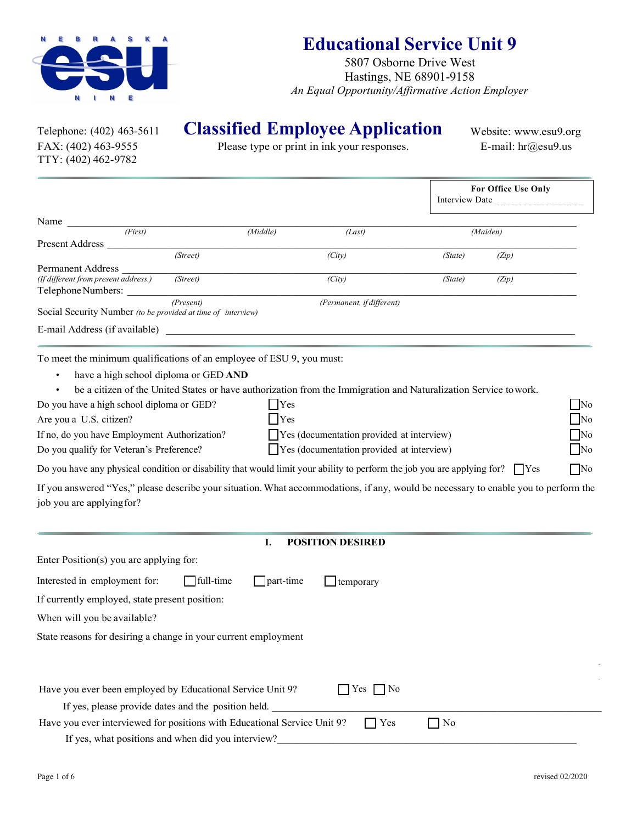

# **Educational Service Unit 9**

5807 Osborne Drive West Hastings, NE 68901-9158 *An Equal Opportunity/Affirmative Action Employer*

TTY: (402) 462-9782

Telephone: (402) 463-5611 **Classified Employee Application**<br>FAX: (402) 463-9555 **Classified** Please type or print in ink your responses.

Website: www.esu9.org E-mail: hr@esu9.us

Please type or print in ink your responses.

|                                                                                                                                                                                                                                                                                                                                                                                                                                                                                                                                                                                                                                         |                                      |                                                                                                      | Interview Date    | For Office Use Only                                           |
|-----------------------------------------------------------------------------------------------------------------------------------------------------------------------------------------------------------------------------------------------------------------------------------------------------------------------------------------------------------------------------------------------------------------------------------------------------------------------------------------------------------------------------------------------------------------------------------------------------------------------------------------|--------------------------------------|------------------------------------------------------------------------------------------------------|-------------------|---------------------------------------------------------------|
| Name $_{-}$<br>$\overline{(First)}$                                                                                                                                                                                                                                                                                                                                                                                                                                                                                                                                                                                                     |                                      |                                                                                                      |                   |                                                               |
| <b>Present Address</b>                                                                                                                                                                                                                                                                                                                                                                                                                                                                                                                                                                                                                  | (Middle)                             | (Last)                                                                                               |                   | (Maiden)                                                      |
| (Street)                                                                                                                                                                                                                                                                                                                                                                                                                                                                                                                                                                                                                                |                                      | (City)                                                                                               | (State)           | (Zip)                                                         |
| Permanent Address<br>(If different from present address.)<br>(Street)<br>Telephone Numbers:                                                                                                                                                                                                                                                                                                                                                                                                                                                                                                                                             |                                      | $\overline{(City)}$                                                                                  | (State)           | (Zip)                                                         |
| (Present)<br>Social Security Number (to be provided at time of interview)                                                                                                                                                                                                                                                                                                                                                                                                                                                                                                                                                               |                                      | (Permanent, if different)                                                                            |                   |                                                               |
| E-mail Address (if available)                                                                                                                                                                                                                                                                                                                                                                                                                                                                                                                                                                                                           |                                      |                                                                                                      |                   |                                                               |
| have a high school diploma or GED AND<br>be a citizen of the United States or have authorization from the Immigration and Naturalization Service to work.<br>Do you have a high school diploma or GED?<br>Are you a U.S. citizen?<br>If no, do you have Employment Authorization?<br>Do you qualify for Veteran's Preference?<br>Do you have any physical condition or disability that would limit your ability to perform the job you are applying for? $\Box$ Yes<br>If you answered "Yes," please describe your situation. What accommodations, if any, would be necessary to enable you to perform the<br>job you are applying for? | $\bigcap$ Yes<br>Yes                 | $\Box$ Yes (documentation provided at interview)<br>$\Box$ Yes (documentation provided at interview) |                   | $\neg$ No<br>$\neg$ No<br>$\neg$ No<br>$\neg$ No<br>$\Box$ No |
|                                                                                                                                                                                                                                                                                                                                                                                                                                                                                                                                                                                                                                         | I.                                   | <b>POSITION DESIRED</b>                                                                              |                   |                                                               |
| Enter Position(s) you are applying for:                                                                                                                                                                                                                                                                                                                                                                                                                                                                                                                                                                                                 |                                      |                                                                                                      |                   |                                                               |
| Interested in employment for:                                                                                                                                                                                                                                                                                                                                                                                                                                                                                                                                                                                                           | $\Box$ full-time<br>$\Box$ part-time | $\exists$ temporary                                                                                  |                   |                                                               |
| If currently employed, state present position:                                                                                                                                                                                                                                                                                                                                                                                                                                                                                                                                                                                          |                                      |                                                                                                      |                   |                                                               |
| When will you be available?                                                                                                                                                                                                                                                                                                                                                                                                                                                                                                                                                                                                             |                                      |                                                                                                      |                   |                                                               |
| State reasons for desiring a change in your current employment                                                                                                                                                                                                                                                                                                                                                                                                                                                                                                                                                                          |                                      |                                                                                                      |                   |                                                               |
| Have you ever been employed by Educational Service Unit 9?<br>If yes, please provide dates and the position held.                                                                                                                                                                                                                                                                                                                                                                                                                                                                                                                       |                                      | $\exists$ Yes<br>  No                                                                                |                   |                                                               |
| Have you ever interviewed for positions with Educational Service Unit 9?<br>If yes, what positions and when did you interview?                                                                                                                                                                                                                                                                                                                                                                                                                                                                                                          |                                      | l Yes                                                                                                | $\blacksquare$ No |                                                               |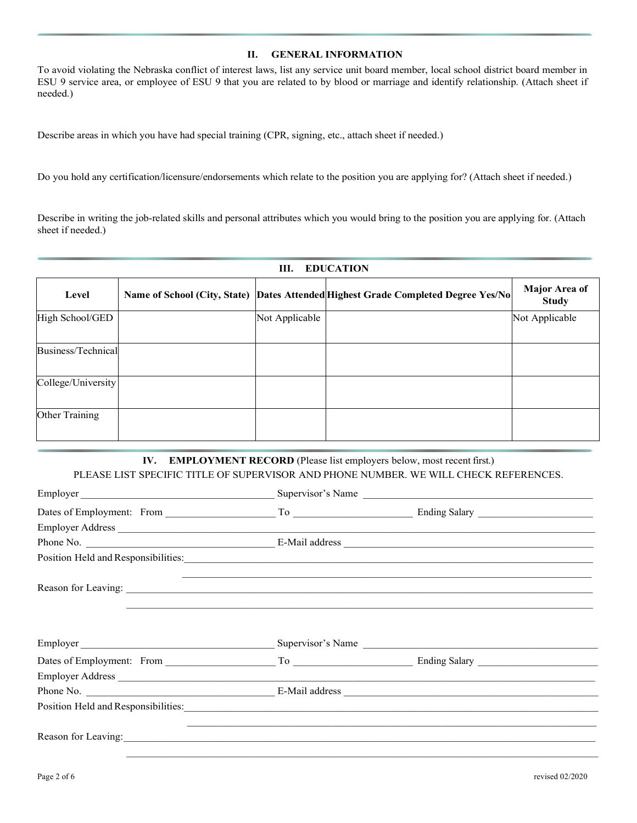#### **II. GENERAL INFORMATION**

To avoid violating the Nebraska conflict of interest laws, list any service unit board member, local school district board member in ESU 9 service area, or employee of ESU 9 that you are related to by blood or marriage and identify relationship. (Attach sheet if needed.)

Describe areas in which you have had special training (CPR, signing, etc., attach sheet if needed.)

Do you hold any certification/licensure/endorsements which relate to the position you are applying for? (Attach sheet if needed.)

Describe in writing the job-related skills and personal attributes which you would bring to the position you are applying for. (Attach sheet if needed.)

| <b>EDUCATION</b><br>Ш. |  |                |                                                                                    |                               |
|------------------------|--|----------------|------------------------------------------------------------------------------------|-------------------------------|
| Level                  |  |                | Name of School (City, State)  Dates Attended Highest Grade Completed Degree Yes/No | Major Area of<br><b>Study</b> |
| High School/GED        |  | Not Applicable |                                                                                    | Not Applicable                |
| Business/Technical     |  |                |                                                                                    |                               |
| College/University     |  |                |                                                                                    |                               |
| Other Training         |  |                |                                                                                    |                               |

## **IV. EMPLOYMENT RECORD** (Please list employers below, most recent first.) PLEASE LIST SPECIFIC TITLE OF SUPERVISOR AND PHONE NUMBER. WE WILL CHECK REFERENCES.

| Employer                                                                                                                                                                                                                      | Supervisor's Name |                                                           |  |
|-------------------------------------------------------------------------------------------------------------------------------------------------------------------------------------------------------------------------------|-------------------|-----------------------------------------------------------|--|
|                                                                                                                                                                                                                               |                   |                                                           |  |
|                                                                                                                                                                                                                               |                   |                                                           |  |
|                                                                                                                                                                                                                               |                   |                                                           |  |
|                                                                                                                                                                                                                               |                   |                                                           |  |
|                                                                                                                                                                                                                               |                   | <u> 1980 - John Stone, Amerikaansk politiker (* 1908)</u> |  |
| Employer                                                                                                                                                                                                                      |                   |                                                           |  |
|                                                                                                                                                                                                                               |                   |                                                           |  |
| Employer Address                                                                                                                                                                                                              |                   |                                                           |  |
|                                                                                                                                                                                                                               |                   |                                                           |  |
| Position Held and Responsibilities: Note that the set of the set of the set of the set of the set of the set of the set of the set of the set of the set of the set of the set of the set of the set of the set of the set of |                   |                                                           |  |
|                                                                                                                                                                                                                               |                   |                                                           |  |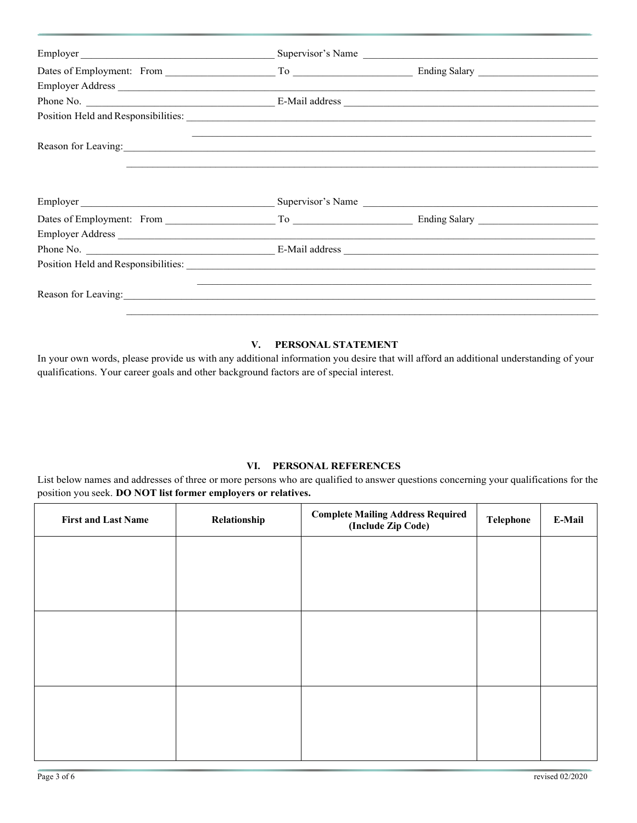|                                                                                                                                                                                                                                | Dates of Employment: From To To Ending Salary |  |  |
|--------------------------------------------------------------------------------------------------------------------------------------------------------------------------------------------------------------------------------|-----------------------------------------------|--|--|
|                                                                                                                                                                                                                                |                                               |  |  |
|                                                                                                                                                                                                                                |                                               |  |  |
| Position Held and Responsibilities: Lawrence and American control of the American control of the American control of the American control of the American control of the American control of the American control of the Ameri |                                               |  |  |
|                                                                                                                                                                                                                                |                                               |  |  |

## **V. PERSONAL STATEMENT**

In your own words, please provide us with any additional information you desire that will afford an additional understanding of your qualifications. Your career goals and other background factors are of special interest.

### **VI. PERSONAL REFERENCES**

List below names and addresses of three or more persons who are qualified to answer questions concerning your qualifications for the position you seek. **DO NOT list former employers or relatives.**

| <b>First and Last Name</b> | Relationship | <b>Complete Mailing Address Required<br/>(Include Zip Code)</b> | <b>Telephone</b> | E-Mail |
|----------------------------|--------------|-----------------------------------------------------------------|------------------|--------|
|                            |              |                                                                 |                  |        |
|                            |              |                                                                 |                  |        |
|                            |              |                                                                 |                  |        |
|                            |              |                                                                 |                  |        |
|                            |              |                                                                 |                  |        |
|                            |              |                                                                 |                  |        |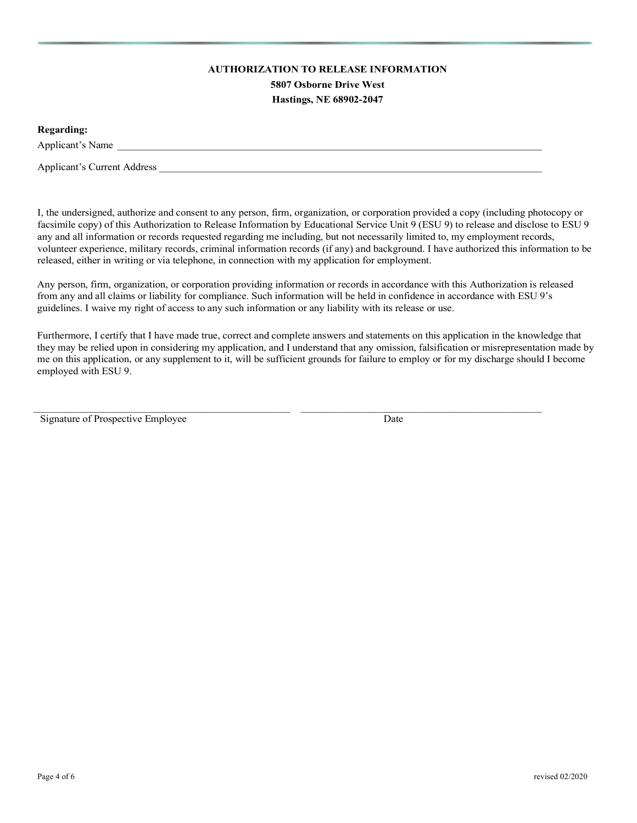## **AUTHORIZATION TO RELEASE INFORMATION**

**5807 Osborne Drive West Hastings, NE 68902-2047**

**Regarding:**

Applicant's Name

Applicant's Current Address  $\blacksquare$ 

I, the undersigned, authorize and consent to any person, firm, organization, or corporation provided a copy (including photocopy or facsimile copy) of this Authorization to Release Information by Educational Service Unit 9 (ESU 9) to release and disclose to ESU 9 any and all information or records requested regarding me including, but not necessarily limited to, my employment records, volunteer experience, military records, criminal information records (if any) and background. I have authorized this information to be released, either in writing or via telephone, in connection with my application for employment.

Any person, firm, organization, or corporation providing information or records in accordance with this Authorization is released from any and all claims or liability for compliance. Such information will be held in confidence in accordance with ESU 9's guidelines. I waive my right of access to any such information or any liability with its release or use.

Furthermore, I certify that I have made true, correct and complete answers and statements on this application in the knowledge that they may be relied upon in considering my application, and I understand that any omission, falsification or misrepresentation made by me on this application, or any supplement to it, will be sufficient grounds for failure to employ or for my discharge should I become employed with ESU 9.

\_\_\_\_\_\_\_\_\_\_\_\_\_\_\_\_\_\_\_\_\_\_\_\_\_\_\_\_\_\_\_\_\_\_\_\_\_\_\_\_\_\_\_\_\_\_\_\_\_ \_\_\_\_\_\_\_\_\_\_\_\_\_\_\_\_\_\_\_\_\_\_\_\_\_\_\_\_\_\_\_\_\_\_\_\_\_\_\_\_\_\_\_\_\_\_

Signature of Prospective Employee Date